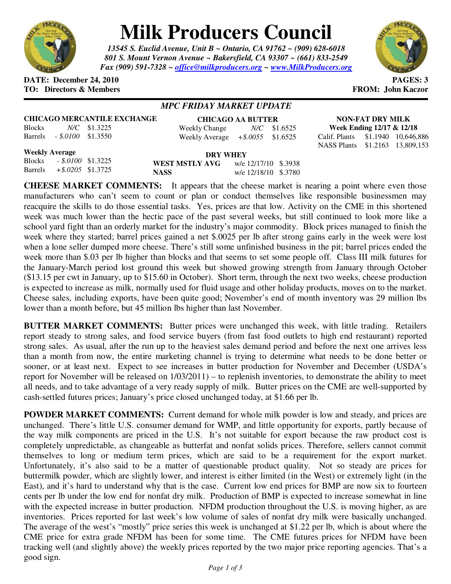

# **Milk Producers Council**

*13545 S. Euclid Avenue, Unit B ~ Ontario, CA 91762 ~ (909) 628-6018 801 S. Mount Vernon Avenue ~ Bakersfield, CA 93307 ~ (661) 833-2549 Fax (909) 591-7328 ~ office@milkproducers.org ~ www.MilkProducers.org*



## **DATE: December 24, 2010 PAGES: 3 TO: Directors & Members FROM: John Kaczor**

# *MPC FRIDAY MARKET UPDATE*

## **CHICAGO MERCANTILE EXCHANGE**

Blocks *N/C* \$1.3225 Barrels *- \$.0100* \$1.3550

#### **CHICAGO AA BUTTER** Weekly Change *N/C* \$1.6525 Weekly Average *+\$.0055* \$1.6525

**NON-FAT DRY MILK Week Ending 12/17 & 12/18**  Calif. Plants \$1.1940 10,646,886 NASS Plants \$1.2163 13,809,153

# **Weekly Average**

| <b>Weekly Average</b> |                              |  | <b>DRY WHEY</b> |                      |  |
|-----------------------|------------------------------|--|-----------------|----------------------|--|
|                       | Blocks - \$.0100 \$1.3225    |  | WEST MSTLY AVG  | w/e 12/17/10 \$.3938 |  |
|                       | Barrels $+$ \$.0205 \$1.3725 |  | <b>NASS</b>     | w/e 12/18/10 \$.3780 |  |

**CHEESE MARKET COMMENTS:** It appears that the cheese market is nearing a point where even those manufacturers who can't seem to count or plan or conduct themselves like responsible businessmen may reacquire the skills to do those essential tasks. Yes, prices are that low. Activity on the CME in this shortened week was much lower than the hectic pace of the past several weeks, but still continued to look more like a school yard fight than an orderly market for the industry's major commodity. Block prices managed to finish the week where they started; barrel prices gained a net \$.0025 per lb after strong gains early in the week were lost when a lone seller dumped more cheese. There's still some unfinished business in the pit; barrel prices ended the week more than \$.03 per lb higher than blocks and that seems to set some people off. Class III milk futures for the January-March period lost ground this week but showed growing strength from January through October (\$13.15 per cwt in January, up to \$15.60 in October). Short term, through the next two weeks, cheese production is expected to increase as milk, normally used for fluid usage and other holiday products, moves on to the market. Cheese sales, including exports, have been quite good; November's end of month inventory was 29 million lbs lower than a month before, but 45 million lbs higher than last November.

**BUTTER MARKET COMMENTS:** Butter prices were unchanged this week, with little trading. Retailers report steady to strong sales, and food service buyers (from fast food outlets to high end restaurant) reported strong sales. As usual, after the run up to the heaviest sales demand period and before the next one arrives less than a month from now, the entire marketing channel is trying to determine what needs to be done better or sooner, or at least next. Expect to see increases in butter production for November and December (USDA's report for November will be released on 1/03/2011) – to replenish inventories, to demonstrate the ability to meet all needs, and to take advantage of a very ready supply of milk. Butter prices on the CME are well-supported by cash-settled futures prices; January's price closed unchanged today, at \$1.66 per lb.

**POWDER MARKET COMMENTS:** Current demand for whole milk powder is low and steady, and prices are unchanged. There's little U.S. consumer demand for WMP, and little opportunity for exports, partly because of the way milk components are priced in the U.S. It's not suitable for export because the raw product cost is completely unpredictable, as changeable as butterfat and nonfat solids prices. Therefore, sellers cannot commit themselves to long or medium term prices, which are said to be a requirement for the export market. Unfortunately, it's also said to be a matter of questionable product quality. Not so steady are prices for buttermilk powder, which are slightly lower, and interest is either limited (in the West) or extremely light (in the East), and it's hard to understand why that is the case. Current low end prices for BMP are now six to fourteen cents per lb under the low end for nonfat dry milk. Production of BMP is expected to increase somewhat in line with the expected increase in butter production. NFDM production throughout the U.S. is moving higher, as are inventories. Prices reported for last week's low volume of sales of nonfat dry milk were basically unchanged. The average of the west's "mostly" price series this week is unchanged at \$1.22 per lb, which is about where the CME price for extra grade NFDM has been for some time. The CME futures prices for NFDM have been tracking well (and slightly above) the weekly prices reported by the two major price reporting agencies. That's a good sign.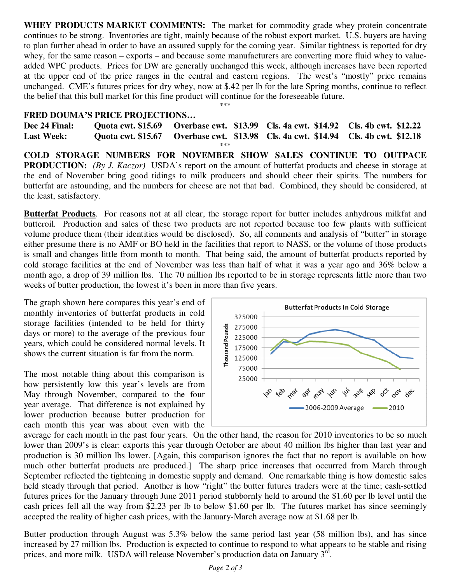**WHEY PRODUCTS MARKET COMMENTS:** The market for commodity grade whey protein concentrate continues to be strong. Inventories are tight, mainly because of the robust export market. U.S. buyers are having to plan further ahead in order to have an assured supply for the coming year. Similar tightness is reported for dry whey, for the same reason – exports – and because some manufacturers are converting more fluid whey to valueadded WPC products. Prices for DW are generally unchanged this week, although increases have been reported at the upper end of the price ranges in the central and eastern regions. The west's "mostly" price remains unchanged. CME's futures prices for dry whey, now at \$.42 per lb for the late Spring months, continue to reflect the belief that this bull market for this fine product will continue for the foreseeable future.

### \*\*\*

## **FRED DOUMA'S PRICE PROJECTIONS…**

**Dec 24 Final: Quota cwt. \$15.69 Overbase cwt. \$13.99 Cls. 4a cwt. \$14.92 Cls. 4b cwt. \$12.22 Last Week: Quota cwt. \$15.67 Overbase cwt. \$13.98 Cls. 4a cwt. \$14.94 Cls. 4b cwt. \$12.18**  \*\*\* **COLD STORAGE NUMBERS FOR NOVEMBER SHOW SALES CONTINUE TO OUTPACE PRODUCTION:** *(By J. Kaczor)* USDA's report on the amount of butterfat products and cheese in storage at the end of November bring good tidings to milk producers and should cheer their spirits. The numbers for

butterfat are astounding, and the numbers for cheese are not that bad. Combined, they should be considered, at

the least, satisfactory. **Butterfat Products**. For reasons not at all clear, the storage report for butter includes anhydrous milkfat and butteroil. Production and sales of these two products are not reported because too few plants with sufficient volume produce them (their identities would be disclosed). So, all comments and analysis of "butter" in storage either presume there is no AMF or BO held in the facilities that report to NASS, or the volume of those products is small and changes little from month to month. That being said, the amount of butterfat products reported by cold storage facilities at the end of November was less than half of what it was a year ago and 36% below a month ago, a drop of 39 million lbs. The 70 million lbs reported to be in storage represents little more than two weeks of butter production, the lowest it's been in more than five years.

The graph shown here compares this year's end of monthly inventories of butterfat products in cold storage facilities (intended to be held for thirty days or more) to the average of the previous four years, which could be considered normal levels. It shows the current situation is far from the norm.

The most notable thing about this comparison is how persistently low this year's levels are from May through November, compared to the four year average. That difference is not explained by lower production because butter production for each month this year was about even with the



average for each month in the past four years. On the other hand, the reason for 2010 inventories to be so much lower than 2009's is clear: exports this year through October are about 40 million lbs higher than last year and production is 30 million lbs lower. [Again, this comparison ignores the fact that no report is available on how much other butterfat products are produced.] The sharp price increases that occurred from March through September reflected the tightening in domestic supply and demand. One remarkable thing is how domestic sales held steady through that period. Another is how "right" the butter futures traders were at the time; cash-settled futures prices for the January through June 2011 period stubbornly held to around the \$1.60 per lb level until the cash prices fell all the way from \$2.23 per lb to below \$1.60 per lb. The futures market has since seemingly accepted the reality of higher cash prices, with the January-March average now at \$1.68 per lb.

Butter production through August was 5.3% below the same period last year (58 million lbs), and has since increased by 27 million lbs. Production is expected to continue to respond to what appears to be stable and rising prices, and more milk. USDA will release November's production data on January  $3^{rd}$ .